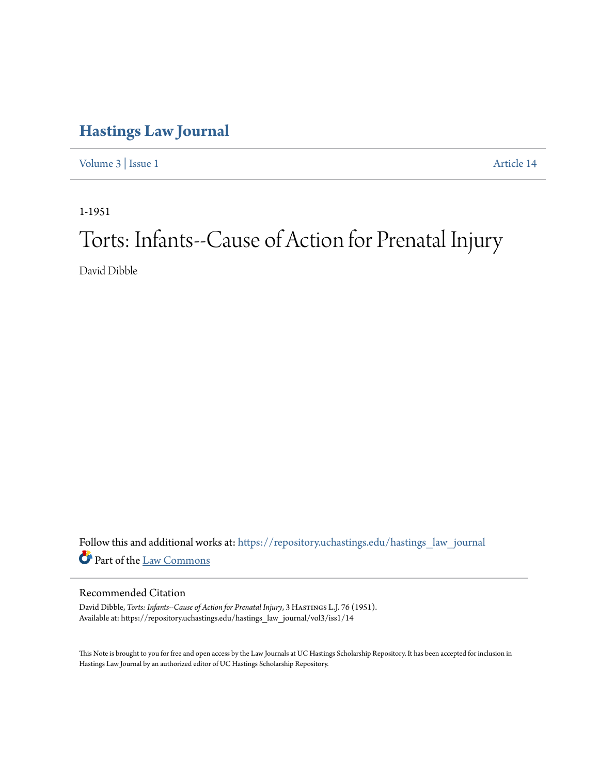## **[Hastings Law Journal](https://repository.uchastings.edu/hastings_law_journal?utm_source=repository.uchastings.edu%2Fhastings_law_journal%2Fvol3%2Fiss1%2F14&utm_medium=PDF&utm_campaign=PDFCoverPages)**

[Volume 3](https://repository.uchastings.edu/hastings_law_journal/vol3?utm_source=repository.uchastings.edu%2Fhastings_law_journal%2Fvol3%2Fiss1%2F14&utm_medium=PDF&utm_campaign=PDFCoverPages) | [Issue 1](https://repository.uchastings.edu/hastings_law_journal/vol3/iss1?utm_source=repository.uchastings.edu%2Fhastings_law_journal%2Fvol3%2Fiss1%2F14&utm_medium=PDF&utm_campaign=PDFCoverPages) [Article 14](https://repository.uchastings.edu/hastings_law_journal/vol3/iss1/14?utm_source=repository.uchastings.edu%2Fhastings_law_journal%2Fvol3%2Fiss1%2F14&utm_medium=PDF&utm_campaign=PDFCoverPages)

1-1951

## Torts: Infants--Cause of Action for Prenatal Injury

David Dibble

Follow this and additional works at: [https://repository.uchastings.edu/hastings\\_law\\_journal](https://repository.uchastings.edu/hastings_law_journal?utm_source=repository.uchastings.edu%2Fhastings_law_journal%2Fvol3%2Fiss1%2F14&utm_medium=PDF&utm_campaign=PDFCoverPages) Part of the [Law Commons](http://network.bepress.com/hgg/discipline/578?utm_source=repository.uchastings.edu%2Fhastings_law_journal%2Fvol3%2Fiss1%2F14&utm_medium=PDF&utm_campaign=PDFCoverPages)

## Recommended Citation

David Dibble, *Torts: Infants--Cause of Action for Prenatal Injury*, 3 HASTINGS L.J. 76 (1951). Available at: https://repository.uchastings.edu/hastings\_law\_journal/vol3/iss1/14

This Note is brought to you for free and open access by the Law Journals at UC Hastings Scholarship Repository. It has been accepted for inclusion in Hastings Law Journal by an authorized editor of UC Hastings Scholarship Repository.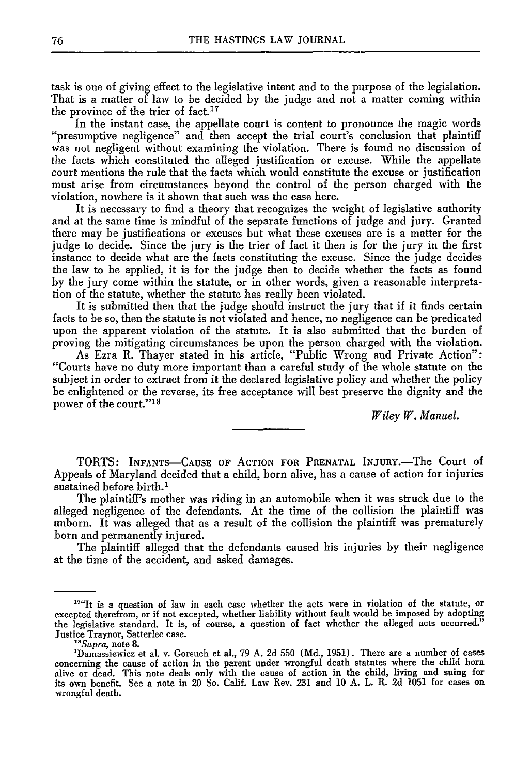task is one of giving effect to the legislative intent and to the purpose of the legislation. That is a matter of law to be decided by the judge and not a matter coming within the province of the trier of fact.<sup>17</sup>

In the instant case, the appellate court is content to pronounce the magic words "presumptive negligence" and then accept the trial court's conclusion that plaintiff was not negligent without examining the violation. There is found no discussion of the facts which constituted the alleged justification or excuse. While the appellate court mentions the rule that the facts which would constitute the excuse or justification must arise from circumstances beyond the control of the person charged with the violation, nowhere is it shown that such was the case here.

It is necessary to find a theory that recognizes the weight of legislative authority and at the same time is mindful of the separate functions of judge and jury. Granted there may be justifications or excuses but what these excuses are is a matter for the judge to decide. Since the jury is the trier of fact it then is for the jury in the first instance to decide what are the facts constituting the excuse. Since the judge decides the law to be applied, it is for the judge then to decide whether the facts as found by the jury come within the statute, or in other words, given a reasonable interpretation of the statute, whether the statute has really been violated.

It is submitted then that the judge should instruct the jury that if it finds certain facts to be so, then the statute is not violated and hence, no negligence can be predicated upon the apparent violation of the statute. It is also submitted that the burden of proving the mitigating circumstances be upon the person charged with the violation.

As Ezra R. Thayer stated in his article, "Public Wrong and Private Action": "Courts have no duty more important than a careful study of the whole statute on the subject in order to extract from it the declared legislative policy and whether the policy be enlightened or the reverse, its free acceptance will best preserve the dignity and the power of the court."<sup>18</sup>

*Wiley W. Manuel.*

TORTS: INFANTS-CAUSE OF ACTION FOR PRENATAL INJURY.-The Court of Appeals of Maryland decided that a child, born alive, has a cause of action for injuries sustained before birth.<sup>1</sup>

The plaintiff's mother was riding in an automobile when it was struck due to the alleged negligence of the defendants. At the time of the collision the plaintiff was unborn. It was alleged that as a result of the collision the plaintiff was prematurely born and permanently injured.

The plaintiff alleged that the defendants caused his injuries by their negligence at the time of the accident, and asked damages.

<sup>&</sup>lt;sup>74</sup>It is a question of law in each case whether the acts were in violation of the statute, or excepted therefrom, or if not excepted, whether liability without fault would be imposed by adopting the legislative standard. It is, of course, a question of fact whether the alleged acts occurred." Justice Traynor, Satterlee case.

*<sup>&</sup>quot;* 8 Supra, note **8.**

<sup>&#</sup>x27;Damassiewicz et al. v. Gorsuch et al., 79 A. 2d 550 (Md., 1951). There are a number of cases concerning the cause of action in the parent under wrongful death statutes where the child born<br>alive or dead. This note deals only with the cause of action in the child, living and suing for<br>its own benefit. See a note in wrongful death.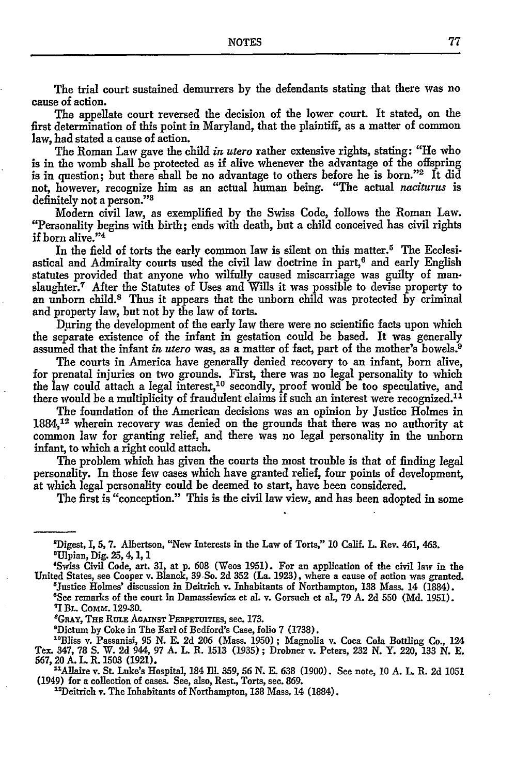The trial court sustained demurrers **by** the defendants stating that there was no cause of action.

The appellate court reversed the decision of the lower court. It stated, on the first determination of this point in Maryland, that the plaintiff, as a matter of common law, had stated a cause of action.

The Roman Law gave the child *in utero* rather extensive rights, stating: "He who is in the womb shall be protected as if alive whenever the advantage of the offspring is in question; but there shall be no advantage to others before he is born."<sup>2</sup> It did not, however, recognize him as an actual human being. "The actual *naciturus* is definitely not a person."'3

Modern civil law, as exemplified **by** the Swiss Code, follows the Roman Law. "Personality begins with birth; ends with death, but a child conceived has civil rights if born alive."<sup>4</sup>

In the field of torts the early common law is silent on this matter.<sup>5</sup> The Ecclesiastical and Admiralty courts used the civil law doctrine in part,<sup>6</sup> and early English statutes provided that anyone who wilfully caused miscarriage was guilty of manslaughter.7 After the Statutes of Uses and Wills it was possible to devise property to an unborn child.8 Thus it appears that the unborn child was protected **by** criminal and property law, but not **by** the law of torts.

**D'uring** the development of the early law there were no scientific facts upon which the separate existence of the infant in gestation could be based. It was generally assumed that the infant *in utero* was, as a matter of fact, part of the mother's bowels.9

The courts in America have generally denied recovery to an infant, born alive, for prenatal injuries on two grounds. First, there was no legal personality to which the law could attach a legal interest,10 secondly, proof would be too speculative, and there would be a multiplicity of fraudulent claims if such an interest were recognized.<sup>11</sup>

The foundation of the American decisions was an opinion **by** Justice Holmes in **1884,12** wherein recovery was denied on the grounds that there was no authority at common law for granting relief, and there was no legal personality in the unborn infant, to which a right could attach.

The problem which has given the courts the most trouble is that of finding legal personality. In those few cases which have granted relief, four points of development, at which legal personality could be deemed to start, have been considered.

The first is "conception." This is the civil law view, and has been adopted in some

'Digest, **I, 5, 7.** Albertson, "New Interests in the Law of Torts," **10** Calif. L. Rev. 461, 463. 'Ulpian, Dig. 25,4,1, **1**

"I BL. CoaM. **129-30.**

'GRAY, THE **RUmE ACNST PERPETUITIES,** see. **173.**

'Dictum **by** Coke in The Earl of Bedford's Case, folio **7 (1738).**

"°Bliss v. Passanisi, **95 N. E. 2d 206** (Mass. **1950);** Magnolia v. Coca Cola Bottling Co., 124 **Tex.** 347, **78 S.** W. **2d** 944, **97 A.** L. R. **1513 (1935) ;** Drobner v. Peters, **232 N.** Y. 220, **133 N. E. 567, 20 Å. L. R. 1503 (1921)**<br>11 Allaine – Stelesland

Allaire v. **St.** Luke's Hospital, 184 **Ill. 359, 56 N. E. 638 (1900).** See note, **10 A.** L. R. **2d 1051** (1949) for a collection of cases. See, also, Rest., Torts, sec. **869.**

"Deitrich v. The Inhabitants of Northampton, **138** Mass. 14 (1884).

<sup>&#</sup>x27;Swiss Civil Code, art. **31,** at **p. 608** (Weos **1951).** For an application of the civil law in the United States, see Cooper v. Blanck, 39,So. **2d 352** (La. **1923),** where a cause of action was granted. 'Justice Holmes' discussion in Deitrich v. Inhabitants of Northampton, **138** Mass. 14 **(1884).** 'See remarks of the court in Damassiewicz et al. v. Gorsuch et **al., 79 A. 2d 550 (Md. 1951).**